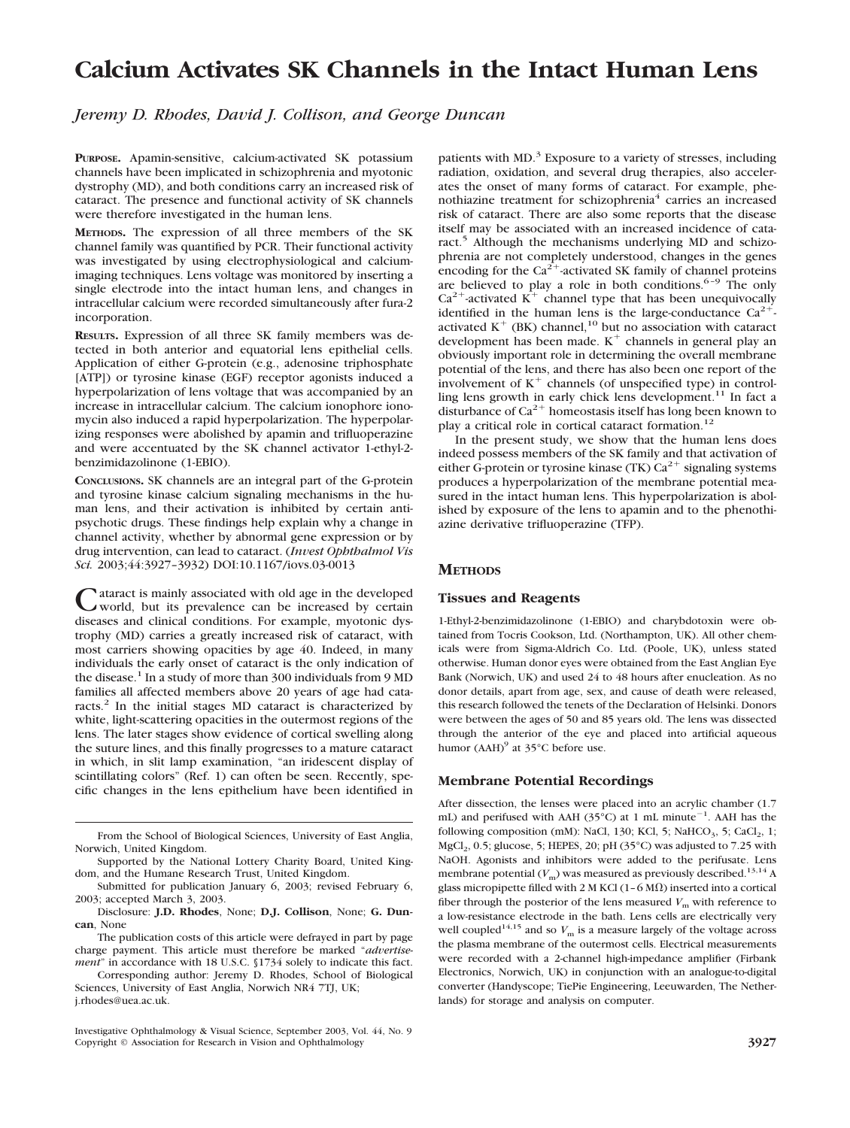# **Calcium Activates SK Channels in the Intact Human Lens**

*Jeremy D. Rhodes, David J. Collison, and George Duncan*

**PURPOSE.** Apamin-sensitive, calcium-activated SK potassium channels have been implicated in schizophrenia and myotonic dystrophy (MD), and both conditions carry an increased risk of cataract. The presence and functional activity of SK channels were therefore investigated in the human lens.

**METHODS.** The expression of all three members of the SK channel family was quantified by PCR. Their functional activity was investigated by using electrophysiological and calciumimaging techniques. Lens voltage was monitored by inserting a single electrode into the intact human lens, and changes in intracellular calcium were recorded simultaneously after fura-2 incorporation.

**RESULTS.** Expression of all three SK family members was detected in both anterior and equatorial lens epithelial cells. Application of either G-protein (e.g., adenosine triphosphate [ATP]) or tyrosine kinase (EGF) receptor agonists induced a hyperpolarization of lens voltage that was accompanied by an increase in intracellular calcium. The calcium ionophore ionomycin also induced a rapid hyperpolarization. The hyperpolarizing responses were abolished by apamin and trifluoperazine and were accentuated by the SK channel activator 1-ethyl-2 benzimidazolinone (1-EBIO).

**CONCLUSIONS.** SK channels are an integral part of the G-protein and tyrosine kinase calcium signaling mechanisms in the human lens, and their activation is inhibited by certain antipsychotic drugs. These findings help explain why a change in channel activity, whether by abnormal gene expression or by drug intervention, can lead to cataract. (*Invest Ophthalmol Vis Sci.* 2003;44:3927–3932) DOI:10.1167/iovs.03-0013

ataract is mainly associated with old age in the developed world, but its prevalence can be increased by certain diseases and clinical conditions. For example, myotonic dystrophy (MD) carries a greatly increased risk of cataract, with most carriers showing opacities by age 40. Indeed, in many individuals the early onset of cataract is the only indication of the disease.<sup>1</sup> In a study of more than 300 individuals from 9 MD families all affected members above 20 years of age had cataracts.<sup>2</sup> In the initial stages MD cataract is characterized by white, light-scattering opacities in the outermost regions of the lens. The later stages show evidence of cortical swelling along the suture lines, and this finally progresses to a mature cataract in which, in slit lamp examination, "an iridescent display of scintillating colors" (Ref. 1) can often be seen. Recently, specific changes in the lens epithelium have been identified in

The publication costs of this article were defrayed in part by page charge payment. This article must therefore be marked "*advertisement*" in accordance with 18 U.S.C. §1734 solely to indicate this fact.

Corresponding author: Jeremy D. Rhodes, School of Biological Sciences, University of East Anglia, Norwich NR4 7TJ, UK; j.rhodes@uea.ac.uk.

patients with MD.<sup>3</sup> Exposure to a variety of stresses, including radiation, oxidation, and several drug therapies, also accelerates the onset of many forms of cataract. For example, phenothiazine treatment for schizophrenia<sup>4</sup> carries an increased risk of cataract. There are also some reports that the disease itself may be associated with an increased incidence of cataract.<sup>5</sup> Although the mechanisms underlying MD and schizophrenia are not completely understood, changes in the genes encoding for the  $Ca^{2+}$ -activated SK family of channel proteins are believed to play a role in both conditions.<sup>6-9</sup> The only  $Ca^{2+}$ -activated K<sup>+</sup> channel type that has been unequivocally identified in the human lens is the large-conductance  $Ca^{2+}$ . activated  $K^+$  (BK) channel,<sup>10</sup> but no association with cataract development has been made.  $K^+$  channels in general play an obviously important role in determining the overall membrane potential of the lens, and there has also been one report of the involvement of  $K^+$  channels (of unspecified type) in controlling lens growth in early chick lens development.<sup>11</sup> In fact a disturbance of  $Ca^{2+}$  homeostasis itself has long been known to play a critical role in cortical cataract formation.<sup>12</sup>

In the present study, we show that the human lens does indeed possess members of the SK family and that activation of either G-protein or tyrosine kinase (TK)  $Ca^{2+}$  signaling systems produces a hyperpolarization of the membrane potential measured in the intact human lens. This hyperpolarization is abolished by exposure of the lens to apamin and to the phenothiazine derivative trifluoperazine (TFP).

## **METHODS**

#### **Tissues and Reagents**

1-Ethyl-2-benzimidazolinone (1-EBIO) and charybdotoxin were obtained from Tocris Cookson, Ltd. (Northampton, UK). All other chemicals were from Sigma-Aldrich Co. Ltd. (Poole, UK), unless stated otherwise. Human donor eyes were obtained from the East Anglian Eye Bank (Norwich, UK) and used 24 to 48 hours after enucleation. As no donor details, apart from age, sex, and cause of death were released, this research followed the tenets of the Declaration of Helsinki. Donors were between the ages of 50 and 85 years old. The lens was dissected through the anterior of the eye and placed into artificial aqueous humor  $(AAH)^9$  at 35 $°C$  before use.

## **Membrane Potential Recordings**

After dissection, the lenses were placed into an acrylic chamber (1.7 mL) and perifused with AAH (35°C) at 1 mL minute<sup>-1</sup>. AAH has the following composition (mM): NaCl, 130; KCl, 5; NaHCO<sub>3</sub>, 5; CaCl<sub>2</sub>, 1;  $MgCl<sub>2</sub>$ , 0.5; glucose, 5; HEPES, 20; pH (35 $^{\circ}$ C) was adjusted to 7.25 with NaOH. Agonists and inhibitors were added to the perifusate. Lens membrane potential  $(V_m)$  was measured as previously described.<sup>13,14</sup> A glass micropipette filled with 2 M KCl (1–6 M $\Omega$ ) inserted into a cortical fiber through the posterior of the lens measured  $V<sub>m</sub>$  with reference to a low-resistance electrode in the bath. Lens cells are electrically very well coupled<sup>14,15</sup> and so  $V_m$  is a measure largely of the voltage across the plasma membrane of the outermost cells. Electrical measurements were recorded with a 2-channel high-impedance amplifier (Firbank Electronics, Norwich, UK) in conjunction with an analogue-to-digital converter (Handyscope; TiePie Engineering, Leeuwarden, The Netherlands) for storage and analysis on computer.

From the School of Biological Sciences, University of East Anglia, Norwich, United Kingdom.

Supported by the National Lottery Charity Board, United Kingdom, and the Humane Research Trust, United Kingdom.

Submitted for publication January 6, 2003; revised February 6, 2003; accepted March 3, 2003.

Disclosure: **J.D. Rhodes**, None; **D.J. Collison**, None; **G. Duncan**, None

Investigative Ophthalmology & Visual Science, September 2003, Vol. 44, No. 9 Copyright © Association for Research in Vision and Ophthalmology **3927**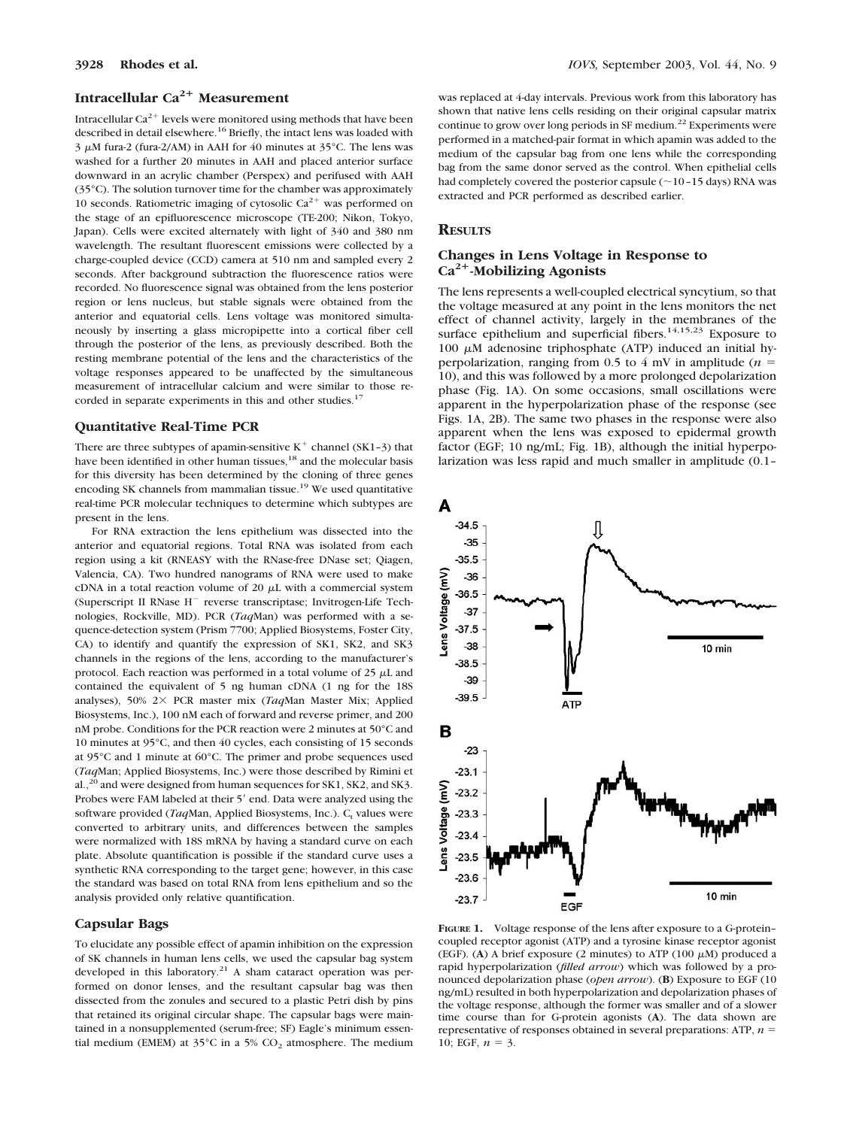# **Intracellular Ca<sup>2+</sup> Measurement**

Intracellular  $Ca^{2+}$  levels were monitored using methods that have been described in detail elsewhere.<sup>16</sup> Briefly, the intact lens was loaded with  $3 \mu$ M fura-2 (fura-2/AM) in AAH for 40 minutes at 35°C. The lens was washed for a further 20 minutes in AAH and placed anterior surface downward in an acrylic chamber (Perspex) and perifused with AAH (35°C). The solution turnover time for the chamber was approximately 10 seconds. Ratiometric imaging of cytosolic  $Ca^{2+}$  was performed on the stage of an epifluorescence microscope (TE-200; Nikon, Tokyo, Japan). Cells were excited alternately with light of 340 and 380 nm wavelength. The resultant fluorescent emissions were collected by a charge-coupled device (CCD) camera at 510 nm and sampled every 2 seconds. After background subtraction the fluorescence ratios were recorded. No fluorescence signal was obtained from the lens posterior region or lens nucleus, but stable signals were obtained from the anterior and equatorial cells. Lens voltage was monitored simultaneously by inserting a glass micropipette into a cortical fiber cell through the posterior of the lens, as previously described. Both the resting membrane potential of the lens and the characteristics of the voltage responses appeared to be unaffected by the simultaneous measurement of intracellular calcium and were similar to those recorded in separate experiments in this and other studies.<sup>17</sup>

#### **Quantitative Real-Time PCR**

There are three subtypes of apamin-sensitive  $K^+$  channel (SK1-3) that have been identified in other human tissues,<sup>18</sup> and the molecular basis for this diversity has been determined by the cloning of three genes encoding SK channels from mammalian tissue.19 We used quantitative real-time PCR molecular techniques to determine which subtypes are present in the lens.

For RNA extraction the lens epithelium was dissected into the anterior and equatorial regions. Total RNA was isolated from each region using a kit (RNEASY with the RNase-free DNase set; Qiagen, Valencia, CA). Two hundred nanograms of RNA were used to make cDNA in a total reaction volume of 20  $\mu$ L with a commercial system (Superscript II RNase H<sup>-</sup> reverse transcriptase; Invitrogen-Life Technologies, Rockville, MD). PCR (*Taq*Man) was performed with a sequence-detection system (Prism 7700; Applied Biosystems, Foster City, CA) to identify and quantify the expression of SK1, SK2, and SK3 channels in the regions of the lens, according to the manufacturer's protocol. Each reaction was performed in a total volume of  $25 \mu L$  and contained the equivalent of 5 ng human cDNA (1 ng for the 18S analyses), 50% 2× PCR master mix (*Taa*Man Master Mix; Applied Biosystems, Inc.), 100 nM each of forward and reverse primer, and 200 nM probe. Conditions for the PCR reaction were 2 minutes at 50°C and 10 minutes at 95°C, and then 40 cycles, each consisting of 15 seconds at 95°C and 1 minute at 60°C. The primer and probe sequences used (*Taq*Man; Applied Biosystems, Inc.) were those described by Rimini et al.,<sup>20</sup> and were designed from human sequences for SK1, SK2, and SK3. Probes were FAM labeled at their 5' end. Data were analyzed using the software provided (*Taq*Man, Applied Biosystems, Inc.). C<sub>t</sub> values were converted to arbitrary units, and differences between the samples were normalized with 18S mRNA by having a standard curve on each plate. Absolute quantification is possible if the standard curve uses a synthetic RNA corresponding to the target gene; however, in this case the standard was based on total RNA from lens epithelium and so the analysis provided only relative quantification.

### **Capsular Bags**

To elucidate any possible effect of apamin inhibition on the expression of SK channels in human lens cells, we used the capsular bag system developed in this laboratory.<sup>21</sup> A sham cataract operation was performed on donor lenses, and the resultant capsular bag was then dissected from the zonules and secured to a plastic Petri dish by pins that retained its original circular shape. The capsular bags were maintained in a nonsupplemented (serum-free; SF) Eagle's minimum essential medium (EMEM) at  $35^{\circ}$ C in a 5% CO<sub>2</sub> atmosphere. The medium was replaced at 4-day intervals. Previous work from this laboratory has shown that native lens cells residing on their original capsular matrix continue to grow over long periods in SF medium.<sup>22</sup> Experiments were performed in a matched-pair format in which apamin was added to the medium of the capsular bag from one lens while the corresponding bag from the same donor served as the control. When epithelial cells had completely covered the posterior capsule  $(\sim 10-15$  days) RNA was extracted and PCR performed as described earlier.

# **RESULTS**

# **Changes in Lens Voltage in Response to Ca2-Mobilizing Agonists**

The lens represents a well-coupled electrical syncytium, so that the voltage measured at any point in the lens monitors the net effect of channel activity, largely in the membranes of the surface epithelium and superficial fibers.<sup>14,15,23</sup> Exposure to 100  $\mu$ M adenosine triphosphate (ATP) induced an initial hyperpolarization, ranging from 0.5 to 4 mV in amplitude  $(n =$ 10), and this was followed by a more prolonged depolarization phase (Fig. 1A). On some occasions, small oscillations were apparent in the hyperpolarization phase of the response (see Figs. 1A, 2B). The same two phases in the response were also apparent when the lens was exposed to epidermal growth factor (EGF; 10 ng/mL; Fig. 1B), although the initial hyperpolarization was less rapid and much smaller in amplitude (0.1–



**FIGURE 1.** Voltage response of the lens after exposure to a G-protein– coupled receptor agonist (ATP) and a tyrosine kinase receptor agonist (EGF). (A) A brief exposure (2 minutes) to ATP (100  $\mu$ M) produced a rapid hyperpolarization (*filled arrow*) which was followed by a pronounced depolarization phase (*open arrow*). (**B**) Exposure to EGF (10 ng/mL) resulted in both hyperpolarization and depolarization phases of the voltage response, although the former was smaller and of a slower time course than for G-protein agonists (**A**). The data shown are representative of responses obtained in several preparations: ATP, *n* 10; EGF,  $n = 3$ .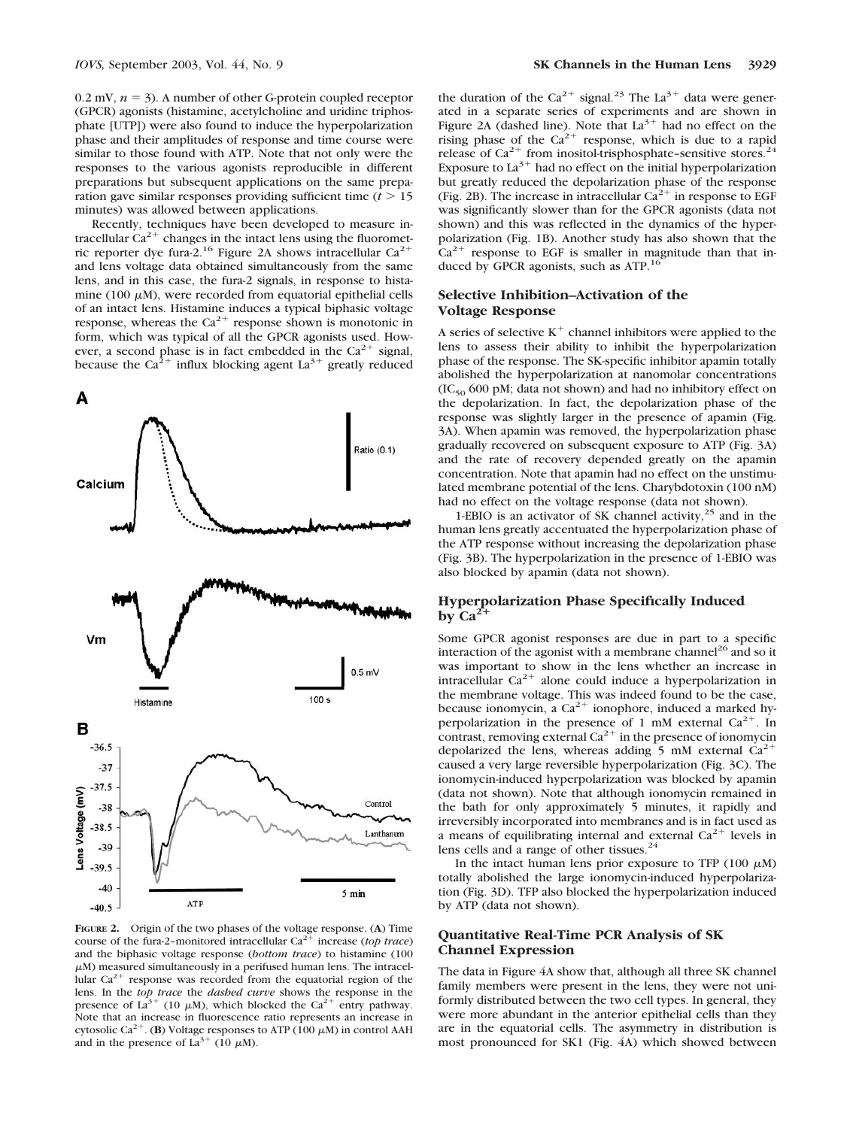$0.2$  mV,  $n = 3$ ). A number of other G-protein coupled receptor (GPCR) agonists (histamine, acetylcholine and uridine triphosphate [UTP]) were also found to induce the hyperpolarization phase and their amplitudes of response and time course were similar to those found with ATP. Note that not only were the responses to the various agonists reproducible in different preparations but subsequent applications on the same preparation gave similar responses providing sufficient time  $(t > 15$ minutes) was allowed between applications.

Recently, techniques have been developed to measure intracellular  $Ca^{2+}$  changes in the intact lens using the fluorometric reporter dye fura-2.<sup>16</sup> Figure 2A shows intracellular  $Ca^{2+}$ and lens voltage data obtained simultaneously from the same lens, and in this case, the fura-2 signals, in response to histamine (100  $\mu$ M), were recorded from equatorial epithelial cells of an intact lens. Histamine induces a typical biphasic voltage response, whereas the  $Ca^{2+}$  response shown is monotonic in form, which was typical of all the GPCR agonists used. However, a second phase is in fact embedded in the  $Ca^{2+}$  signal, because the Ca<sup>2+</sup> influx blocking agent La<sup>3+</sup> greatly reduced



**FIGURE 2.** Origin of the two phases of the voltage response. (**A**) Time course of the fura-2-monitored intracellular  $Ca^{2+}$  increase (*top trace*) and the biphasic voltage response (*bottom trace*) to histamine (100  $\mu$ M) measured simultaneously in a perifused human lens. The intracellular  $Ca^{2+}$  response was recorded from the equatorial region of the lens. In the *top trace* the *dashed curve* shows the response in the presence of La<sup>3+</sup> (10  $\mu$ M), which blocked the Ca<sup>2+</sup> entry pathway. Note that an increase in fluorescence ratio represents an increase in cytosolic Ca<sup>2+</sup>. (**B**) Voltage responses to ATP (100  $\mu$ M) in control AAH and in the presence of  $La^{3+}$  (10  $\mu$ M).

the duration of the Ca<sup>2+</sup> signal.<sup>23</sup> The La<sup>3+</sup> data were generated in a separate series of experiments and are shown in Figure 2A (dashed line). Note that  $La^{3+}$  had no effect on the rising phase of the  $Ca^{2+}$  response, which is due to a rapid release of  $Ca^{2+}$  from inositol-trisphosphate-sensitive stores.<sup>24</sup> Exposure to  $La^{3+}$  had no effect on the initial hyperpolarization but greatly reduced the depolarization phase of the response (Fig. 2B). The increase in intracellular  $Ca^{2+}$  in response to EGF was significantly slower than for the GPCR agonists (data not shown) and this was reflected in the dynamics of the hyperpolarization (Fig. 1B). Another study has also shown that the  $Ca^{2+}$  response to EGF is smaller in magnitude than that induced by GPCR agonists, such as ATP.<sup>16</sup>

# **Selective Inhibition–Activation of the Voltage Response**

A series of selective  $K^+$  channel inhibitors were applied to the lens to assess their ability to inhibit the hyperpolarization phase of the response. The SK-specific inhibitor apamin totally abolished the hyperpolarization at nanomolar concentrations  $(IC_{50} 600 \text{ pM})$ ; data not shown) and had no inhibitory effect on the depolarization. In fact, the depolarization phase of the response was slightly larger in the presence of apamin (Fig. 3A). When apamin was removed, the hyperpolarization phase gradually recovered on subsequent exposure to ATP (Fig. 3A) and the rate of recovery depended greatly on the apamin concentration. Note that apamin had no effect on the unstimulated membrane potential of the lens. Charybdotoxin (100 nM) had no effect on the voltage response (data not shown).

1-EBIO is an activator of SK channel activity, $2<sup>5</sup>$  and in the human lens greatly accentuated the hyperpolarization phase of the ATP response without increasing the depolarization phase (Fig. 3B). The hyperpolarization in the presence of 1-EBIO was also blocked by apamin (data not shown).

# **Hyperpolarization Phase Specifically Induced**  $b$ <sub>V</sub> Ca<sup>2</sup>

Some GPCR agonist responses are due in part to a specific interaction of the agonist with a membrane channel<sup>26</sup> and so it was important to show in the lens whether an increase in intracellular  $Ca^{2+}$  alone could induce a hyperpolarization in the membrane voltage. This was indeed found to be the case, because ionomycin, a  $Ca^{2+}$  ionophore, induced a marked hyperpolarization in the presence of 1 mM external  $Ca^{2+}$ . In contrast, removing external  $Ca^{2+}$  in the presence of ionomycin depolarized the lens, whereas adding 5 mM external  $Ca^{2+}$ caused a very large reversible hyperpolarization (Fig. 3C). The ionomycin-induced hyperpolarization was blocked by apamin (data not shown). Note that although ionomycin remained in the bath for only approximately 5 minutes, it rapidly and irreversibly incorporated into membranes and is in fact used as a means of equilibrating internal and external  $Ca^{2+}$  levels in lens cells and a range of other tissues.<sup>24</sup>

In the intact human lens prior exposure to TFP (100  $\mu$ M) totally abolished the large ionomycin-induced hyperpolarization (Fig. 3D). TFP also blocked the hyperpolarization induced by ATP (data not shown).

## **Quantitative Real-Time PCR Analysis of SK Channel Expression**

The data in Figure 4A show that, although all three SK channel family members were present in the lens, they were not uniformly distributed between the two cell types. In general, they were more abundant in the anterior epithelial cells than they are in the equatorial cells. The asymmetry in distribution is most pronounced for SK1 (Fig. 4A) which showed between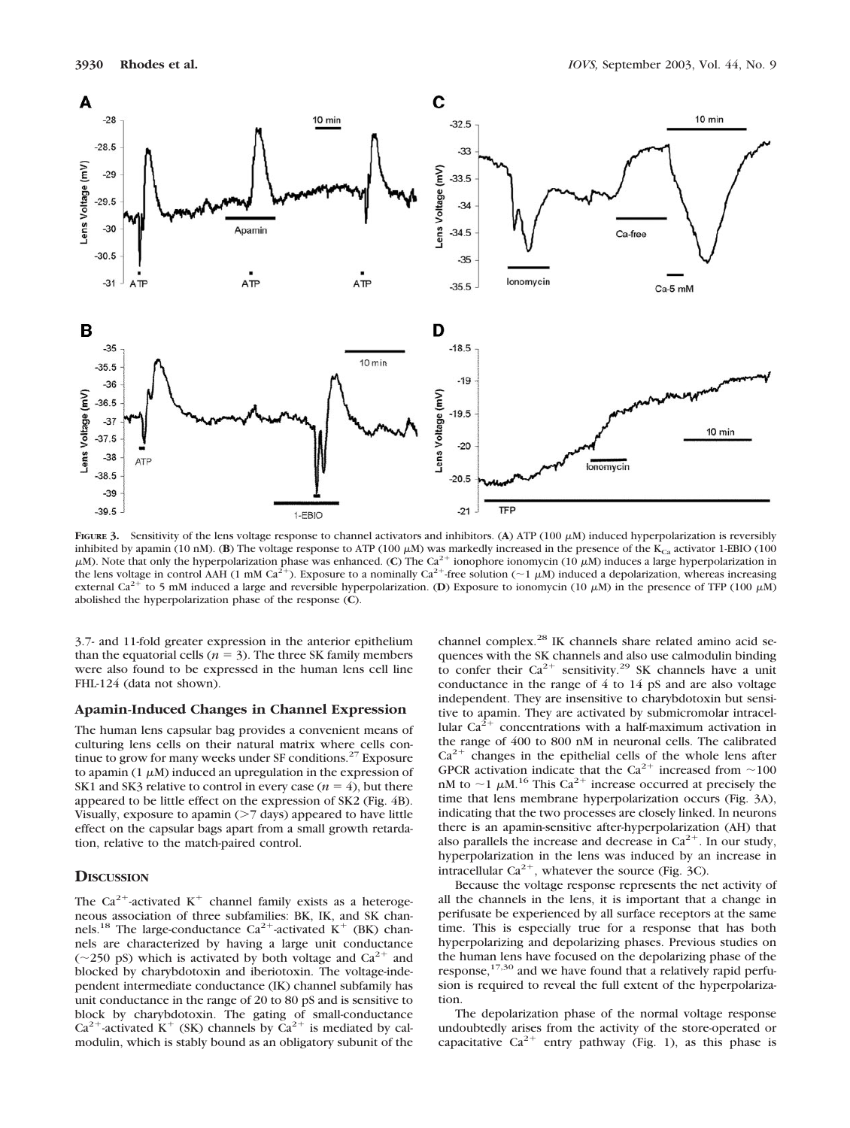

FIGURE 3. Sensitivity of the lens voltage response to channel activators and inhibitors. (A) ATP (100  $\mu$ M) induced hyperpolarization is reversibly inhibited by apamin (10 nM). (**B**) The voltage response to ATP (100  $\mu$ M) was markedly increased in the presence of the K<sub>Ca</sub> activator 1-EBIO (100  $\mu$ M). Note that only the hyperpolarization phase was enhanced. (C) The Ca<sup>2+</sup> ionophore ionomycin (10  $\mu$ M) induces a large hyperpolarization in the lens voltage in control AAH (1 mM Ca<sup>2+</sup>). Exposure to a nominally Ca<sup>2+</sup> free solution (~1  $\mu$ M) induced a depolarization, whereas increasing external Ca<sup>2+</sup> to 5 mM induced a large and reversible hyperpolarization. (**D**) Exposure to ionomycin (10  $\mu$ M) in the presence of TFP (100  $\mu$ M) abolished the hyperpolarization phase of the response (**C**).

3.7- and 11-fold greater expression in the anterior epithelium than the equatorial cells ( $n = 3$ ). The three SK family members were also found to be expressed in the human lens cell line FHL-124 (data not shown).

### **Apamin-Induced Changes in Channel Expression**

The human lens capsular bag provides a convenient means of culturing lens cells on their natural matrix where cells continue to grow for many weeks under  $SF$  conditions.<sup>27</sup> Exposure to apamin (1  $\mu$ M) induced an upregulation in the expression of SK1 and SK3 relative to control in every case  $(n = 4)$ , but there appeared to be little effect on the expression of SK2 (Fig. 4B). Visually, exposure to apamin  $($ >7 days) appeared to have little effect on the capsular bags apart from a small growth retardation, relative to the match-paired control.

## **DISCUSSION**

The Ca<sup>2+</sup>-activated K<sup>+</sup> channel family exists as a heterogeneous association of three subfamilies: BK, IK, and SK channels.<sup>18</sup> The large-conductance Ca<sup>2+</sup>-activated K<sup>+</sup> (BK) channels are characterized by having a large unit conductance ( $\sim$ 250 pS) which is activated by both voltage and Ca<sup>2+</sup> and blocked by charybdotoxin and iberiotoxin. The voltage-independent intermediate conductance (IK) channel subfamily has unit conductance in the range of 20 to 80 pS and is sensitive to block by charybdotoxin. The gating of small-conductance  $Ca^{2+}$ -activated K<sup>+</sup> (SK) channels by  $Ca^{2+}$  is mediated by calmodulin, which is stably bound as an obligatory subunit of the

channel complex.<sup>28</sup> IK channels share related amino acid sequences with the SK channels and also use calmodulin binding to confer their  $Ca^{2+}$  sensitivity.<sup>29</sup> SK channels have a unit conductance in the range of 4 to 14 pS and are also voltage independent. They are insensitive to charybdotoxin but sensitive to apamin. They are activated by submicromolar intracellular  $Ca^{2+}$  concentrations with a half-maximum activation in the range of 400 to 800 nM in neuronal cells. The calibrated  $Ca<sup>2+</sup>$  changes in the epithelial cells of the whole lens after GPCR activation indicate that the Ca<sup>2+</sup> increased from  $\sim$ 100 nM to  $\sim$ 1  $\mu$ M.<sup>16</sup> This Ca<sup>2+</sup> increase occurred at precisely the time that lens membrane hyperpolarization occurs (Fig. 3A), indicating that the two processes are closely linked. In neurons there is an apamin-sensitive after-hyperpolarization (AH) that also parallels the increase and decrease in  $Ca^{2+}$ . In our study, hyperpolarization in the lens was induced by an increase in intracellular  $Ca^{2+}$ , whatever the source (Fig. 3C).

Because the voltage response represents the net activity of all the channels in the lens, it is important that a change in perifusate be experienced by all surface receptors at the same time. This is especially true for a response that has both hyperpolarizing and depolarizing phases. Previous studies on the human lens have focused on the depolarizing phase of the response, $17,30$  and we have found that a relatively rapid perfusion is required to reveal the full extent of the hyperpolarization.

The depolarization phase of the normal voltage response undoubtedly arises from the activity of the store-operated or capacitative  $Ca^{2+}$  entry pathway (Fig. 1), as this phase is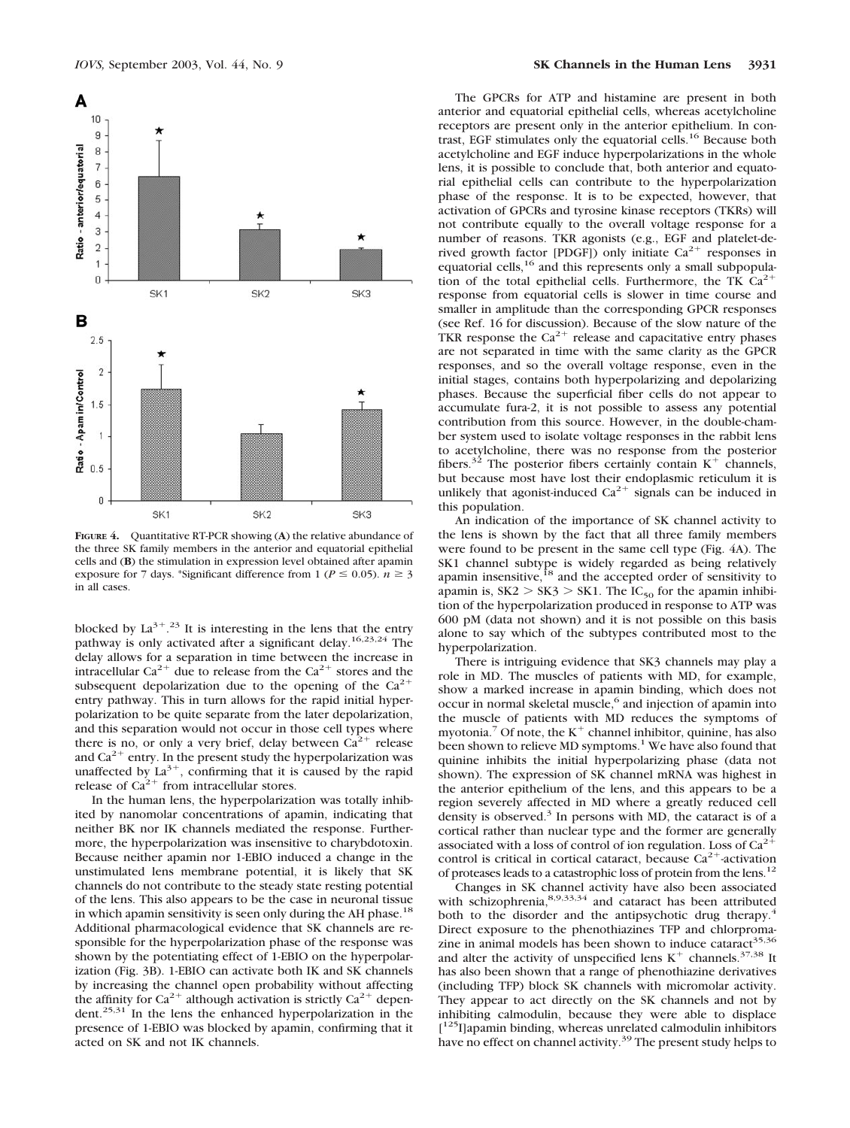

**FIGURE 4.** Quantitative RT-PCR showing (**A**) the relative abundance of the three SK family members in the anterior and equatorial epithelial cells and (**B**) the stimulation in expression level obtained after apamin exposure for 7 days. \*Significant difference from 1 ( $P \le 0.05$ ).  $n \ge 3$ in all cases.

blocked by  $La^{3+}$ .<sup>23</sup> It is interesting in the lens that the entry pathway is only activated after a significant delay.16,23,24 The delay allows for a separation in time between the increase in intracellular Ca<sup>2+</sup> due to release from the Ca<sup>2+</sup> stores and the subsequent depolarization due to the opening of the  $Ca^{2+}$ entry pathway. This in turn allows for the rapid initial hyperpolarization to be quite separate from the later depolarization, and this separation would not occur in those cell types where there is no, or only a very brief, delay between  $Ca^{2+}$  release and  $Ca^{2+}$  entry. In the present study the hyperpolarization was unaffected by  $La^{3+}$ , confirming that it is caused by the rapid release of  $Ca^{2+}$  from intracellular stores.

In the human lens, the hyperpolarization was totally inhibited by nanomolar concentrations of apamin, indicating that neither BK nor IK channels mediated the response. Furthermore, the hyperpolarization was insensitive to charybdotoxin. Because neither apamin nor 1-EBIO induced a change in the unstimulated lens membrane potential, it is likely that SK channels do not contribute to the steady state resting potential of the lens. This also appears to be the case in neuronal tissue in which apamin sensitivity is seen only during the AH phase.<sup>18</sup> Additional pharmacological evidence that SK channels are responsible for the hyperpolarization phase of the response was shown by the potentiating effect of 1-EBIO on the hyperpolarization (Fig. 3B). 1-EBIO can activate both IK and SK channels by increasing the channel open probability without affecting the affinity for  $Ca^{2+}$  although activation is strictly  $Ca^{2+}$  dependent.25,31 In the lens the enhanced hyperpolarization in the presence of 1-EBIO was blocked by apamin, confirming that it acted on SK and not IK channels.

The GPCRs for ATP and histamine are present in both anterior and equatorial epithelial cells, whereas acetylcholine receptors are present only in the anterior epithelium. In contrast, EGF stimulates only the equatorial cells.16 Because both acetylcholine and EGF induce hyperpolarizations in the whole lens, it is possible to conclude that, both anterior and equatorial epithelial cells can contribute to the hyperpolarization phase of the response. It is to be expected, however, that activation of GPCRs and tyrosine kinase receptors (TKRs) will not contribute equally to the overall voltage response for a number of reasons. TKR agonists (e.g., EGF and platelet-derived growth factor [PDGF]) only initiate  $Ca^{2+}$  responses in equatorial cells,<sup>16</sup> and this represents only a small subpopulation of the total epithelial cells. Furthermore, the TK  $Ca^{2+}$ response from equatorial cells is slower in time course and smaller in amplitude than the corresponding GPCR responses (see Ref. 16 for discussion). Because of the slow nature of the TKR response the  $Ca^{2+}$  release and capacitative entry phases are not separated in time with the same clarity as the GPCR responses, and so the overall voltage response, even in the initial stages, contains both hyperpolarizing and depolarizing phases. Because the superficial fiber cells do not appear to accumulate fura-2, it is not possible to assess any potential contribution from this source. However, in the double-chamber system used to isolate voltage responses in the rabbit lens to acetylcholine, there was no response from the posterior fibers.<sup>32</sup> The posterior fibers certainly contain  $K^+$  channels, but because most have lost their endoplasmic reticulum it is unlikely that agonist-induced  $Ca^{2+}$  signals can be induced in this population.

An indication of the importance of SK channel activity to the lens is shown by the fact that all three family members were found to be present in the same cell type (Fig. 4A). The SK1 channel subtype is widely regarded as being relatively apamin insensitive,<sup>18</sup> and the accepted order of sensitivity to apamin is,  $SK2 > SK3 > SK1$ . The IC<sub>50</sub> for the apamin inhibition of the hyperpolarization produced in response to ATP was 600 pM (data not shown) and it is not possible on this basis alone to say which of the subtypes contributed most to the hyperpolarization.

There is intriguing evidence that SK3 channels may play a role in MD. The muscles of patients with MD, for example, show a marked increase in apamin binding, which does not occur in normal skeletal muscle,<sup>6</sup> and injection of apamin into the muscle of patients with MD reduces the symptoms of myotonia.<sup>7</sup> Of note, the  $K^+$  channel inhibitor, quinine, has also been shown to relieve MD symptoms.<sup>1</sup> We have also found that quinine inhibits the initial hyperpolarizing phase (data not shown). The expression of SK channel mRNA was highest in the anterior epithelium of the lens, and this appears to be a region severely affected in MD where a greatly reduced cell density is observed.<sup>3</sup> In persons with MD, the cataract is of a cortical rather than nuclear type and the former are generally associated with a loss of control of ion regulation. Loss of  $Ca<sup>2+</sup>$ control is critical in cortical cataract, because  $Ca^{2+}$ -activation of proteases leads to a catastrophic loss of protein from the lens.<sup>12</sup>

Changes in SK channel activity have also been associated with schizophrenia,<sup>8,9,33,34</sup> and cataract has been attributed both to the disorder and the antipsychotic drug therapy.<sup>4</sup> Direct exposure to the phenothiazines TFP and chlorpromazine in animal models has been shown to induce cataract $35,36$ and alter the activity of unspecified lens  $K^+$  channels.<sup>37,38</sup> It has also been shown that a range of phenothiazine derivatives (including TFP) block SK channels with micromolar activity. They appear to act directly on the SK channels and not by inhibiting calmodulin, because they were able to displace [<sup>125</sup>I]apamin binding, whereas unrelated calmodulin inhibitors have no effect on channel activity.<sup>39</sup> The present study helps to